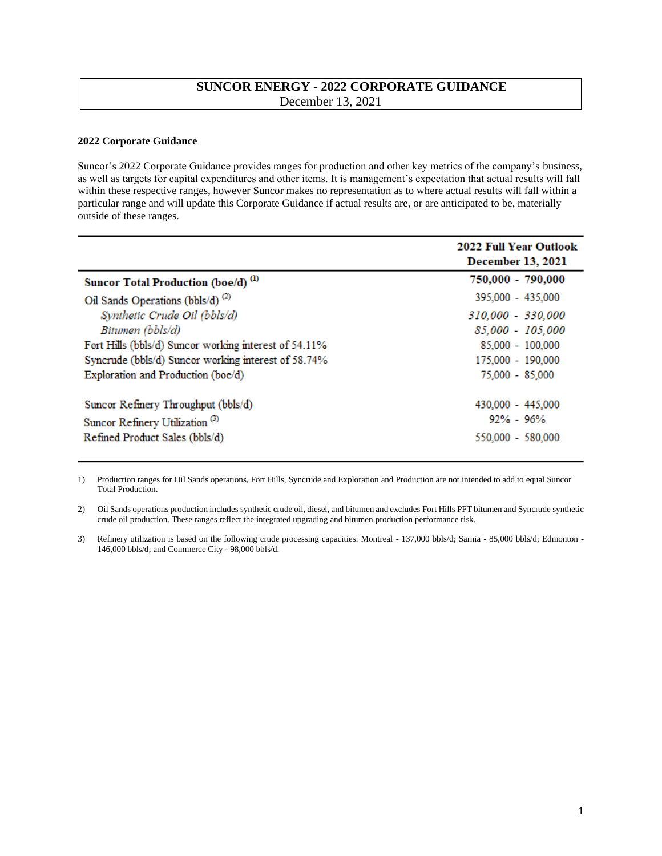## **SUNCOR ENERGY - 2022 CORPORATE GUIDANCE** December 13, 2021

## **2022 Corporate Guidance**

Suncor's 2022 Corporate Guidance provides ranges for production and other key metrics of the company's business, as well as targets for capital expenditures and other items. It is management's expectation that actual results will fall within these respective ranges, however Suncor makes no representation as to where actual results will fall within a particular range and will update this Corporate Guidance if actual results are, or are anticipated to be, materially outside of these ranges.

|                                                       | <b>2022 Full Year Outlook</b><br><b>December 13, 2021</b> |
|-------------------------------------------------------|-----------------------------------------------------------|
| Suncor Total Production (boe/d) <sup>(1)</sup>        | 750,000 - 790,000                                         |
| Oil Sands Operations (bbls/d) $^{(2)}$                | 395,000 - 435,000                                         |
| Synthetic Crude Oil (bbls/d)                          | 310,000 - 330,000                                         |
| Bitumen (bbls/d)                                      | 85,000 - 105,000                                          |
| Fort Hills (bbls/d) Suncor working interest of 54.11% | 85,000 - 100,000                                          |
| Syncrude (bbls/d) Suncor working interest of 58.74%   | 175,000 - 190,000                                         |
| Exploration and Production (boe/d)                    | 75,000 - 85,000                                           |
| Suncor Refinery Throughput (bbls/d)                   | 430,000 - 445,000                                         |
| Suncor Refinery Utilization <sup>(3)</sup>            | $92\% - 96\%$                                             |
| Refined Product Sales (bbls/d)                        | 550,000 - 580,000                                         |

1) Production ranges for Oil Sands operations, Fort Hills, Syncrude and Exploration and Production are not intended to add to equal Suncor Total Production.

2) Oil Sands operations production includes synthetic crude oil, diesel, and bitumen and excludes Fort Hills PFT bitumen and Syncrude synthetic crude oil production. These ranges reflect the integrated upgrading and bitumen production performance risk.

3) Refinery utilization is based on the following crude processing capacities: Montreal - 137,000 bbls/d; Sarnia - 85,000 bbls/d; Edmonton - 146,000 bbls/d; and Commerce City - 98,000 bbls/d.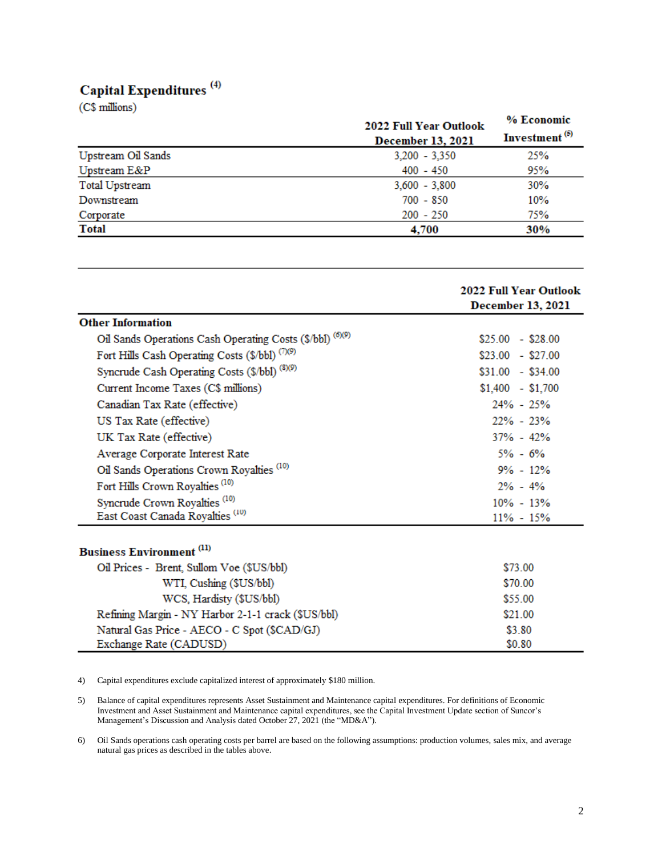## Capital Expenditures<sup>(4)</sup>

(C\$ millions)

|                    | 2022 Full Year Outlook<br><b>December 13, 2021</b> | % Economic<br>Investment <sup>(5)</sup> |
|--------------------|----------------------------------------------------|-----------------------------------------|
| Upstream Oil Sands | $3,200 - 3,350$                                    | 25%                                     |
| Upstream E&P       | $400 - 450$                                        | 95%                                     |
| Total Upstream     | $3,600 - 3,800$                                    | 30%                                     |
| Downstream         | $700 - 850$                                        | 10%                                     |
| Corporate          | $200 - 250$                                        | 75%                                     |
| Total              | 4,700                                              | 30%                                     |

|                                                           | <b>2022 Full Year Outlook</b><br><b>December 13, 2021</b> |
|-----------------------------------------------------------|-----------------------------------------------------------|
| <b>Other Information</b>                                  |                                                           |
| Oil Sands Operations Cash Operating Costs (\$/bbl) (6)(9) | $$25.00 - $28.00$                                         |
| Fort Hills Cash Operating Costs (\$/bbl) (7)(9)           | $$23.00 - $27.00$                                         |
| Syncrude Cash Operating Costs (\$/bbl) (8)(9)             | $$31.00 - $34.00$                                         |
| Current Income Taxes (C\$ millions)                       | $$1,400$ - \$1,700                                        |
| Canadian Tax Rate (effective)                             | $24\% - 25\%$                                             |
| US Tax Rate (effective)                                   | $22\% - 23\%$                                             |
| UK Tax Rate (effective)                                   | $37\% - 42\%$                                             |
| Average Corporate Interest Rate                           | $5\% - 6\%$                                               |
| Oil Sands Operations Crown Royalties <sup>(10)</sup>      | $9\% - 12\%$                                              |
| Fort Hills Crown Royalties <sup>(10)</sup>                | $2\% - 4\%$                                               |
| Syncrude Crown Royalties <sup>(10)</sup>                  | $10\% - 13\%$                                             |
| East Coast Canada Royalties <sup>(10)</sup>               | $11\% - 15\%$                                             |
| <b>Business Environment</b> <sup>(11)</sup>               |                                                           |
| Oil Prices - Brent, Sullom Voe (\$US/bbl)                 | \$73.00                                                   |
| WTI, Cushing (\$US/bbl)                                   | \$70.00                                                   |
| WCS, Hardisty (\$US/bbl)                                  | \$55.00                                                   |
| Refining Margin - NY Harbor 2-1-1 crack (\$US/bbl)        | \$21.00                                                   |
| Natural Gas Price - AECO - C Spot (\$CAD/GJ)              | \$3.80                                                    |
| Exchange Rate (CADUSD)                                    | \$0.80                                                    |

4) Capital expenditures exclude capitalized interest of approximately \$180 million.

5) Balance of capital expenditures represents Asset Sustainment and Maintenance capital expenditures. For definitions of Economic Investment and Asset Sustainment and Maintenance capital expenditures, see the Capital Investment Update section of Suncor's Management's Discussion and Analysis dated October 27, 2021 (the "MD&A").

6) Oil Sands operations cash operating costs per barrel are based on the following assumptions: production volumes, sales mix, and average natural gas prices as described in the tables above.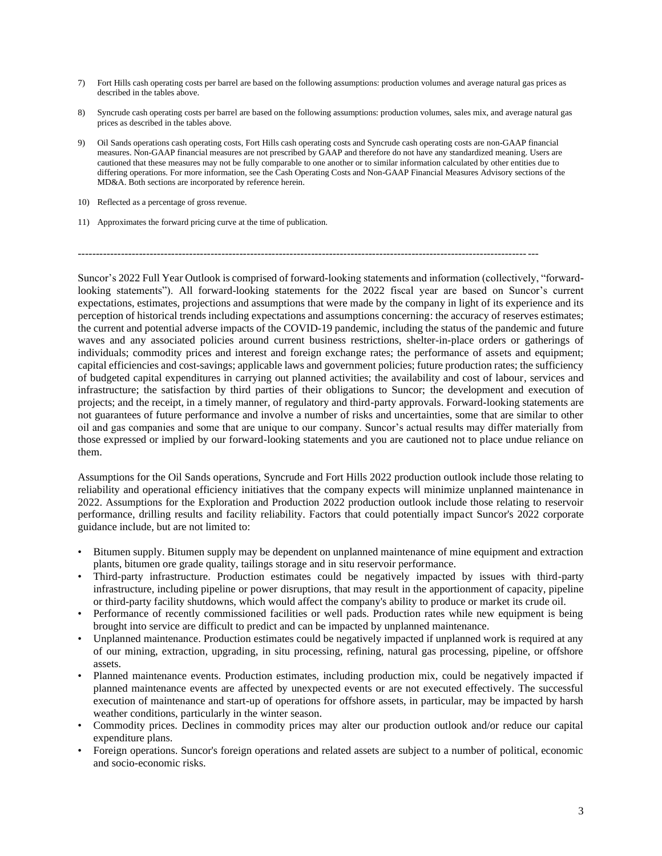- 7) Fort Hills cash operating costs per barrel are based on the following assumptions: production volumes and average natural gas prices as described in the tables above.
- 8) Syncrude cash operating costs per barrel are based on the following assumptions: production volumes, sales mix, and average natural gas prices as described in the tables above.
- 9) Oil Sands operations cash operating costs, Fort Hills cash operating costs and Syncrude cash operating costs are non-GAAP financial measures. Non-GAAP financial measures are not prescribed by GAAP and therefore do not have any standardized meaning. Users are cautioned that these measures may not be fully comparable to one another or to similar information calculated by other entities due to differing operations. For more information, see the Cash Operating Costs and Non-GAAP Financial Measures Advisory sections of the MD&A. Both sections are incorporated by reference herein.
- 10) Reflected as a percentage of gross revenue.
- 11) Approximates the forward pricing curve at the time of publication.

--------------------------------------------------------------------------------------------------------------------------------

Suncor's 2022 Full Year Outlook is comprised of forward-looking statements and information (collectively, "forwardlooking statements"). All forward-looking statements for the 2022 fiscal year are based on Suncor's current expectations, estimates, projections and assumptions that were made by the company in light of its experience and its perception of historical trends including expectations and assumptions concerning: the accuracy of reserves estimates; the current and potential adverse impacts of the COVID-19 pandemic, including the status of the pandemic and future waves and any associated policies around current business restrictions, shelter-in-place orders or gatherings of individuals; commodity prices and interest and foreign exchange rates; the performance of assets and equipment; capital efficiencies and cost-savings; applicable laws and government policies; future production rates; the sufficiency of budgeted capital expenditures in carrying out planned activities; the availability and cost of labour, services and infrastructure; the satisfaction by third parties of their obligations to Suncor; the development and execution of projects; and the receipt, in a timely manner, of regulatory and third-party approvals. Forward-looking statements are not guarantees of future performance and involve a number of risks and uncertainties, some that are similar to other oil and gas companies and some that are unique to our company. Suncor's actual results may differ materially from those expressed or implied by our forward-looking statements and you are cautioned not to place undue reliance on them.

Assumptions for the Oil Sands operations, Syncrude and Fort Hills 2022 production outlook include those relating to reliability and operational efficiency initiatives that the company expects will minimize unplanned maintenance in 2022. Assumptions for the Exploration and Production 2022 production outlook include those relating to reservoir performance, drilling results and facility reliability. Factors that could potentially impact Suncor's 2022 corporate guidance include, but are not limited to:

- Bitumen supply. Bitumen supply may be dependent on unplanned maintenance of mine equipment and extraction plants, bitumen ore grade quality, tailings storage and in situ reservoir performance.
- Third-party infrastructure. Production estimates could be negatively impacted by issues with third-party infrastructure, including pipeline or power disruptions, that may result in the apportionment of capacity, pipeline or third-party facility shutdowns, which would affect the company's ability to produce or market its crude oil.
- Performance of recently commissioned facilities or well pads. Production rates while new equipment is being brought into service are difficult to predict and can be impacted by unplanned maintenance.
- Unplanned maintenance. Production estimates could be negatively impacted if unplanned work is required at any of our mining, extraction, upgrading, in situ processing, refining, natural gas processing, pipeline, or offshore assets.
- Planned maintenance events. Production estimates, including production mix, could be negatively impacted if planned maintenance events are affected by unexpected events or are not executed effectively. The successful execution of maintenance and start-up of operations for offshore assets, in particular, may be impacted by harsh weather conditions, particularly in the winter season.
- Commodity prices. Declines in commodity prices may alter our production outlook and/or reduce our capital expenditure plans.
- Foreign operations. Suncor's foreign operations and related assets are subject to a number of political, economic and socio-economic risks.